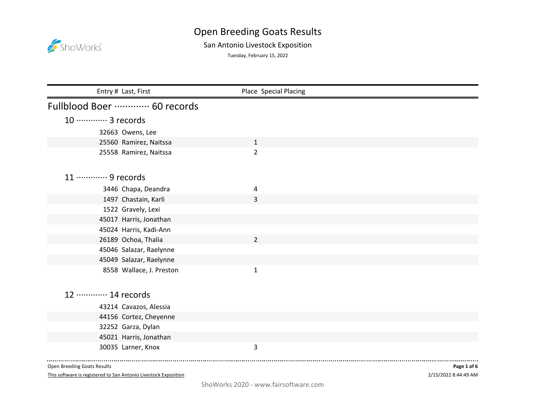

## San Antonio Livestock Exposition

Tuesday, February 15, 2022

| Entry # Last, First         | Place Special Placing   |  |
|-----------------------------|-------------------------|--|
| Fullblood Boer  60 records  |                         |  |
| 10 ············· 3 records  |                         |  |
| 32663 Owens, Lee            |                         |  |
| 25560 Ramirez, Naitssa      | $\mathbf{1}$            |  |
| 25558 Ramirez, Naitssa      | $\overline{2}$          |  |
| 11 ………… 9 records           |                         |  |
| 3446 Chapa, Deandra         | 4                       |  |
| 1497 Chastain, Karli        | 3                       |  |
| 1522 Gravely, Lexi          |                         |  |
| 45017 Harris, Jonathan      |                         |  |
| 45024 Harris, Kadi-Ann      |                         |  |
| 26189 Ochoa, Thalia         | $\overline{2}$          |  |
| 45046 Salazar, Raelynne     |                         |  |
| 45049 Salazar, Raelynne     |                         |  |
| 8558 Wallace, J. Preston    | $\mathbf{1}$            |  |
| 12 ············· 14 records |                         |  |
| 43214 Cavazos, Alessia      |                         |  |
| 44156 Cortez, Cheyenne      |                         |  |
| 32252 Garza, Dylan          |                         |  |
| 45021 Harris, Jonathan      |                         |  |
| 30035 Larner, Knox          | $\overline{\mathbf{3}}$ |  |

Open Breeding Goats Results

This software is registered to San Antonio Livestock Exposition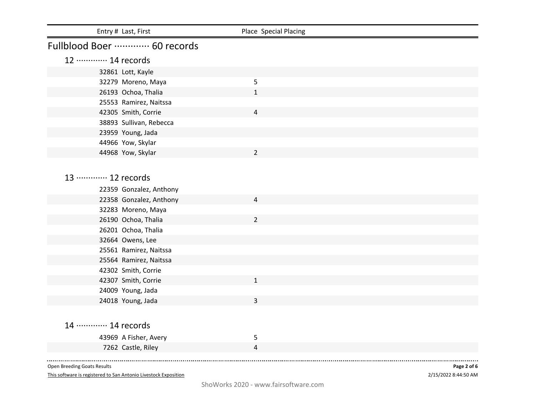| Entry # Last, First                        | Place Special Placing |  |
|--------------------------------------------|-----------------------|--|
| Fullblood Boer ………… 60 records             |                       |  |
| 12 ············· 14 records                |                       |  |
| 32861 Lott, Kayle                          |                       |  |
| 32279 Moreno, Maya                         | 5                     |  |
| 26193 Ochoa, Thalia                        | $\mathbf{1}$          |  |
| 25553 Ramirez, Naitssa                     |                       |  |
| 42305 Smith, Corrie                        | $\overline{4}$        |  |
| 38893 Sullivan, Rebecca                    |                       |  |
| 23959 Young, Jada                          |                       |  |
| 44966 Yow, Skylar                          |                       |  |
| 44968 Yow, Skylar                          | $\overline{2}$        |  |
|                                            |                       |  |
| 13 ………… 12 records                         |                       |  |
|                                            |                       |  |
| 22359 Gonzalez, Anthony                    |                       |  |
| 22358 Gonzalez, Anthony                    | 4                     |  |
| 32283 Moreno, Maya                         |                       |  |
| 26190 Ochoa, Thalia                        | $\overline{2}$        |  |
| 26201 Ochoa, Thalia                        |                       |  |
| 32664 Owens, Lee                           |                       |  |
| 25561 Ramirez, Naitssa                     |                       |  |
| 25564 Ramirez, Naitssa                     |                       |  |
| 42302 Smith, Corrie<br>42307 Smith, Corrie | $\mathbf{1}$          |  |
| 24009 Young, Jada                          |                       |  |
| 24018 Young, Jada                          | 3                     |  |
|                                            |                       |  |
|                                            |                       |  |
| 14 ………… 14 records                         |                       |  |
| 43969 A Fisher, Avery                      | 5                     |  |
| 7262 Castle, Riley                         | 4                     |  |
|                                            |                       |  |

This software is registered to San Antonio Livestock Exposition

2/15/2022 8:44:50 AM **Page 2 of 6**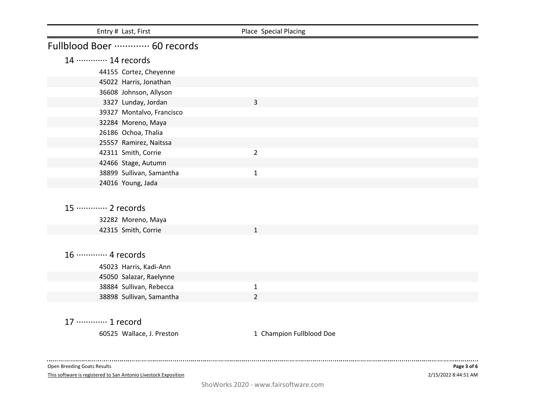| Entry # Last, First                               | Place Special Placing    |  |
|---------------------------------------------------|--------------------------|--|
| Fullblood Boer  60 records                        |                          |  |
| 14 ………… 14 records                                |                          |  |
| 44155 Cortez, Cheyenne                            |                          |  |
| 45022 Harris, Jonathan                            |                          |  |
| 36608 Johnson, Allyson                            |                          |  |
| 3327 Lunday, Jordan                               | 3                        |  |
| 39327 Montalvo, Francisco                         |                          |  |
| 32284 Moreno, Maya                                |                          |  |
| 26186 Ochoa, Thalia                               |                          |  |
| 25557 Ramirez, Naitssa                            |                          |  |
| 42311 Smith, Corrie                               | $\overline{2}$           |  |
| 42466 Stage, Autumn                               |                          |  |
| 38899 Sullivan, Samantha                          | $\mathbf{1}$             |  |
| 24016 Young, Jada                                 |                          |  |
|                                                   |                          |  |
| 15 ············· 2 records                        |                          |  |
| 32282 Moreno, Maya                                |                          |  |
| 42315 Smith, Corrie                               | $\mathbf{1}$             |  |
|                                                   |                          |  |
| 16 ············· 4 records                        |                          |  |
|                                                   |                          |  |
| 45023 Harris, Kadi-Ann<br>45050 Salazar, Raelynne |                          |  |
| 38884 Sullivan, Rebecca                           | $\mathbf{1}$             |  |
| 38898 Sullivan, Samantha                          | $\overline{2}$           |  |
|                                                   |                          |  |
|                                                   |                          |  |
| 17 ………… 1 record                                  |                          |  |
| 60525 Wallace, J. Preston                         | 1 Champion Fullblood Doe |  |
|                                                   |                          |  |

This software is registered to San Antonio Livestock Exposition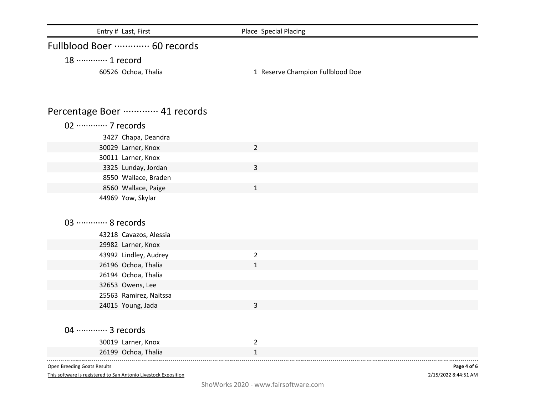| Entry # Last, First         | Place Special Placing            |
|-----------------------------|----------------------------------|
| Fullblood Boer  60 records  |                                  |
| 18 ………… 1 record            |                                  |
| 60526 Ochoa, Thalia         | 1 Reserve Champion Fullblood Doe |
| Percentage Boer  41 records |                                  |
| 02 ·············· 7 records |                                  |
| 3427 Chapa, Deandra         |                                  |
| 30029 Larner, Knox          | $\overline{2}$                   |
| 30011 Larner, Knox          |                                  |
| 3325 Lunday, Jordan         | 3                                |
| 8550 Wallace, Braden        |                                  |
| 8560 Wallace, Paige         | $\mathbf{1}$                     |
| 44969 Yow, Skylar           |                                  |
|                             |                                  |
| 03 ·············· 8 records |                                  |
| 43218 Cavazos, Alessia      |                                  |
| 29982 Larner, Knox          |                                  |
| 43992 Lindley, Audrey       | $\overline{2}$                   |
| 26196 Ochoa, Thalia         | $\mathbf{1}$                     |
| 26194 Ochoa, Thalia         |                                  |
| 32653 Owens, Lee            |                                  |
| 25563 Ramirez, Naitssa      |                                  |
| 24015 Young, Jada           | 3                                |
|                             |                                  |
| 04 ………… 3 records           |                                  |
| 30019 Larner, Knox          | $\overline{2}$                   |
| 26199 Ochoa, Thalia         | $\mathbf{1}$                     |
| Open Breeding Goats Results | Page 4 of 6                      |

This software is registered to San Antonio Livestock Exposition

2/15/2022 8:44:51 AM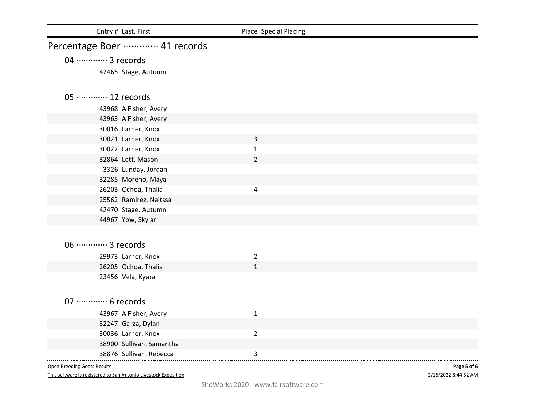| Entry # Last, First         | Place Special Placing |             |
|-----------------------------|-----------------------|-------------|
| Percentage Boer  41 records |                       |             |
| 04 ············· 3 records  |                       |             |
| 42465 Stage, Autumn         |                       |             |
|                             |                       |             |
| 05 ············· 12 records |                       |             |
| 43968 A Fisher, Avery       |                       |             |
| 43963 A Fisher, Avery       |                       |             |
| 30016 Larner, Knox          |                       |             |
| 30021 Larner, Knox          | 3                     |             |
| 30022 Larner, Knox          | $\mathbf{1}$          |             |
| 32864 Lott, Mason           | $\overline{2}$        |             |
| 3326 Lunday, Jordan         |                       |             |
| 32285 Moreno, Maya          |                       |             |
| 26203 Ochoa, Thalia         | 4                     |             |
| 25562 Ramirez, Naitssa      |                       |             |
| 42470 Stage, Autumn         |                       |             |
| 44967 Yow, Skylar           |                       |             |
|                             |                       |             |
| 06 ·············· 3 records |                       |             |
| 29973 Larner, Knox          | $\overline{2}$        |             |
| 26205 Ochoa, Thalia         | $\mathbf{1}$          |             |
| 23456 Vela, Kyara           |                       |             |
|                             |                       |             |
| 07 ············· 6 records  |                       |             |
| 43967 A Fisher, Avery       | $\mathbf 1$           |             |
| 32247 Garza, Dylan          |                       |             |
| 30036 Larner, Knox          | $\overline{2}$        |             |
| 38900 Sullivan, Samantha    |                       |             |
| 38876 Sullivan, Rebecca     | 3                     |             |
| Open Breeding Goats Results |                       | Page 5 of 6 |

This software is registered to San Antonio Livestock Exposition

2/15/2022 8:44:52 AM